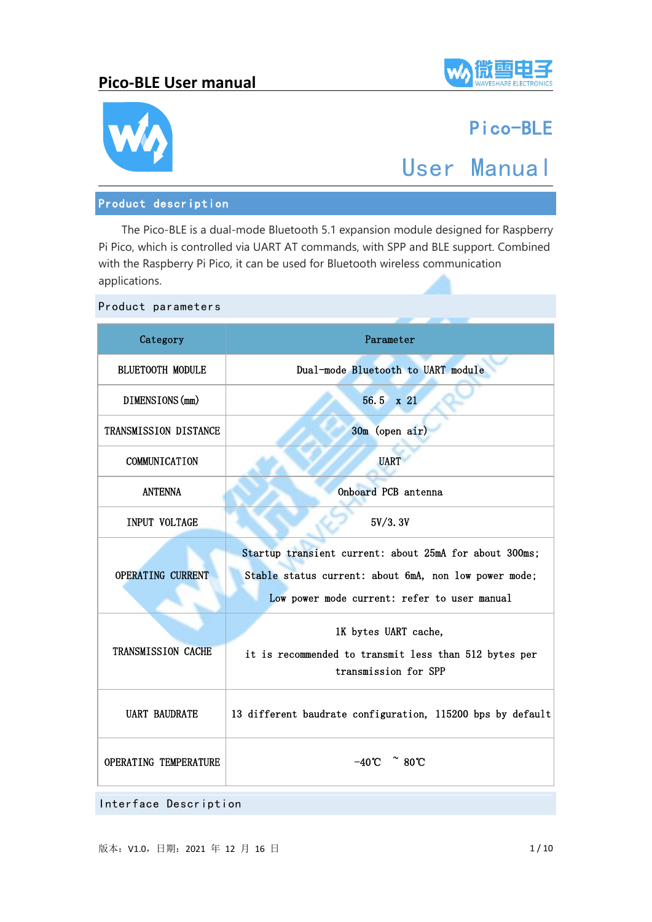



# Pico-BLE

# User Manual

### Product description

The Pico-BLE is a dual-mode Bluetooth 5.1 expansion module designed for Raspberry Pi Pico, which is controlled via UART AT commands, with SPP and BLE support. Combined with the Raspberry Pi Pico, it can be used for Bluetooth wireless communication applications.

| Category                                                                           | Parameter                                                                                                                                                       |  |  |  |
|------------------------------------------------------------------------------------|-----------------------------------------------------------------------------------------------------------------------------------------------------------------|--|--|--|
| <b>BLUETOOTH MODULE</b>                                                            | Dual-mode Bluetooth to UART module                                                                                                                              |  |  |  |
| DIMENSIONS (mm)                                                                    | 56.5 x 21                                                                                                                                                       |  |  |  |
| TRANSMISSION DISTANCE                                                              | 30m (open air)                                                                                                                                                  |  |  |  |
| COMMUNICATION                                                                      | <b>UART</b>                                                                                                                                                     |  |  |  |
| <b>ANTENNA</b>                                                                     | Onboard PCB antenna                                                                                                                                             |  |  |  |
| INPUT VOLTAGE                                                                      | 5V/3.3V                                                                                                                                                         |  |  |  |
| OPERATING CURRENT                                                                  | Startup transient current: about 25mA for about 300ms;<br>Stable status current: about 6mA, non low power mode;<br>Low power mode current: refer to user manual |  |  |  |
| TRANSMISSION CACHE                                                                 | 1K bytes UART cache,<br>it is recommended to transmit less than 512 bytes per<br>transmission for SPP                                                           |  |  |  |
| <b>UART BAUDRATE</b><br>13 different baudrate configuration, 115200 bps by default |                                                                                                                                                                 |  |  |  |
| $-40^{\circ}$ $\degree$ 80°C<br>OPERATING TEMPERATURE                              |                                                                                                                                                                 |  |  |  |

Product parameters

Interface Description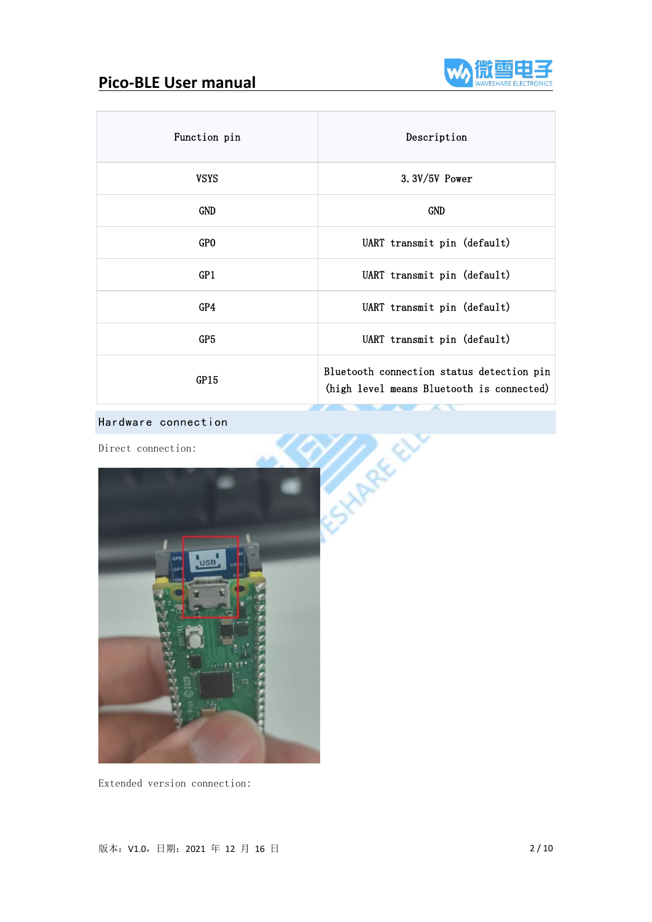

| Function pin    | Description                                                                            |  |
|-----------------|----------------------------------------------------------------------------------------|--|
| <b>VSYS</b>     | $3.3V/5V$ Power                                                                        |  |
| GND             | GND                                                                                    |  |
| GP <sub>0</sub> | UART transmit pin (default)                                                            |  |
| GP1             | UART transmit pin (default)                                                            |  |
| GP4             | UART transmit pin (default)                                                            |  |
| GP5             | UART transmit pin (default)                                                            |  |
| GP15            | Bluetooth connection status detection pin<br>(high level means Bluetooth is connected) |  |

Direct connection:



Extended version connection: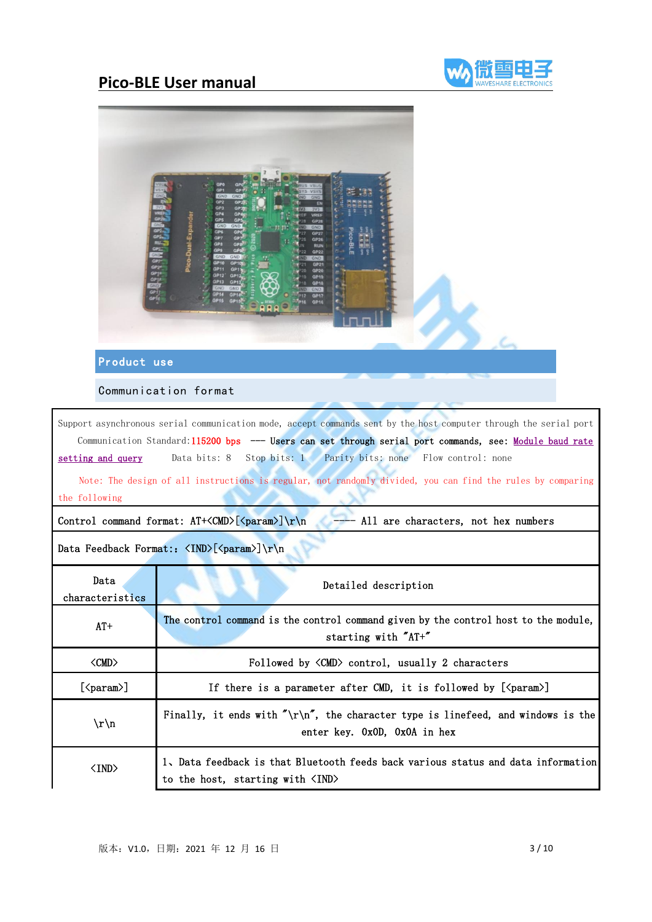



### Product use

Communication format

Support asynchronous serial communication mode, accept commands sent by the host computer through the serial port Communication Standard:115200 bps --- Users can set through serial port commands, see: [Module](#page-4-0) baud rate setting and query Data bits: 8 Stop bits: 1 Parity bits: none Flow control: none

Note: The design of all instructions is regular, not randomly divided, you can find the rules by comparing the following

Control command format:  $AT+ $\langle M\mathbb{D}\rangle$  [ $\langle param \rangle$ ] \r n  $\longrightarrow$  All are characters, not hex numbers$ 

Data Feedback Format::  $\langle NND \rangle$ [ $\langle param \rangle$ ] \r\n

| Data<br>characteristics   | Detailed description                                                                                                                  |  |  |  |
|---------------------------|---------------------------------------------------------------------------------------------------------------------------------------|--|--|--|
| $AT+$                     | The control command is the control command given by the control host to the module,<br>starting with "AT+"                            |  |  |  |
| $\langle CMD \rangle$     | Followed by $\langle CMD \rangle$ control, usually 2 characters                                                                       |  |  |  |
| $[\langle param \rangle]$ | If there is a parameter after CMD, it is followed by $[\langle param \rangle]$                                                        |  |  |  |
| $\r\$                     | Finally, it ends with $\sqrt[n]{r}$ , the character type is linefeed, and windows is the<br>enter key. 0x0D, 0x0A in hex              |  |  |  |
| $\langle$ IND $\rangle$   | 1, Data feedback is that Bluetooth feeds back various status and data information<br>to the host, starting with $\langle IND \rangle$ |  |  |  |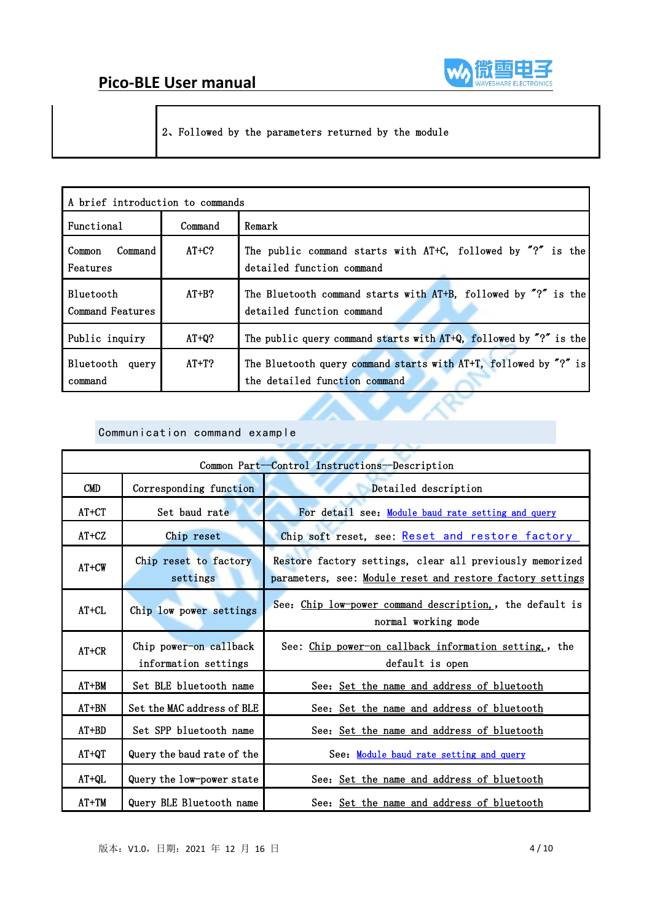

2、Followed by the parameters returned by the module

| A brief introduction to commands |         |                                                                                                   |  |
|----------------------------------|---------|---------------------------------------------------------------------------------------------------|--|
| Functional                       | Command | Remark                                                                                            |  |
| Command<br>Common<br>Features    | $AT+C?$ | The public command starts with AT+C, followed by "?" is the<br>detailed function command          |  |
| Bluetooth<br>Command Features    | $AT+B?$ | The Bluetooth command starts with AT+B, followed by "?" is the<br>detailed function command       |  |
| Public inquiry                   | $AT+O?$ | The public query command starts with AT+Q, followed by "?" is the                                 |  |
| Bluetooth query<br>command       | $AT+T?$ | The Bluetooth query command starts with AT+T, followed by "?" is<br>the detailed function command |  |

#### Communication command example

| Common Part-Control Instructions-Description |                                                |                                                                                                                        |  |
|----------------------------------------------|------------------------------------------------|------------------------------------------------------------------------------------------------------------------------|--|
| <b>CMD</b>                                   | Corresponding function                         | Detailed description                                                                                                   |  |
| $AT+CT$                                      | Set baud rate                                  | For detail see: Module baud rate setting and query                                                                     |  |
| $AT+CZ$                                      | Chip reset                                     | Chip soft reset, see: Reset and restore factory                                                                        |  |
| $AT+CW$                                      | Chip reset to factory<br>settings              | Restore factory settings, clear all previously memorized<br>parameters, see: Module reset and restore factory settings |  |
| $AT+CL$                                      | Chip low power settings                        | See: Chip low-power command description,, the default is<br>normal working mode                                        |  |
| $AT+CR$                                      | Chip power-on callback<br>information settings | See: Chip power-on callback information setting, the<br>default is open                                                |  |
| $AT+BM$                                      | Set BLE bluetooth name                         | See: Set the name and address of bluetooth                                                                             |  |
| $AT+BN$                                      | Set the MAC address of BLE                     | See: Set the name and address of bluetooth                                                                             |  |
| $AT+BD$                                      | Set SPP bluetooth name                         | See: Set the name and address of bluetooth                                                                             |  |
| $AT+QT$                                      | Query the baud rate of the                     | See: Module baud rate setting and query                                                                                |  |
| $AT+OL$                                      | Query the low-power state                      | See: Set the name and address of bluetooth                                                                             |  |
| $AT+TM$                                      | Query BLE Bluetooth name                       | See: Set the name and address of bluetooth                                                                             |  |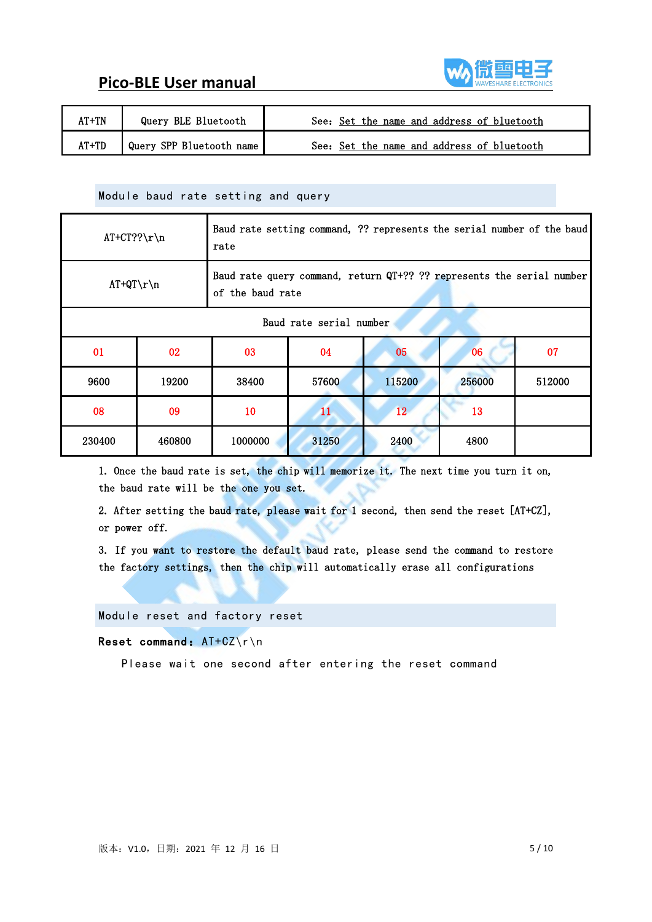



| $AT+TN$<br>Query BLE Bluetooth    | See: Set the name and address of bluetooth |
|-----------------------------------|--------------------------------------------|
| AT+TD<br>Query SPP Bluetooth name | See: Set the name and address of bluetooth |

#### <span id="page-4-0"></span>Module baud rate setting and query

| $AT+CT?? \r\n\$ |                                                                                                           | Baud rate setting command, ?? represents the serial number of the baud<br>rate |       |        |        |        |  |
|-----------------|-----------------------------------------------------------------------------------------------------------|--------------------------------------------------------------------------------|-------|--------|--------|--------|--|
|                 | Baud rate query command, return QT+?? ?? represents the serial number<br>$AT+QT\rr\n$<br>of the baud rate |                                                                                |       |        |        |        |  |
|                 | Baud rate serial number                                                                                   |                                                                                |       |        |        |        |  |
| 01              | 02                                                                                                        | 07<br>04<br>03<br>05<br>06                                                     |       |        |        |        |  |
| 9600            | 19200                                                                                                     | 38400                                                                          | 57600 | 115200 | 256000 | 512000 |  |
| 08              | 09                                                                                                        | 12 <sup>12</sup><br>10<br>11<br>13                                             |       |        |        |        |  |
| 230400          | 460800                                                                                                    | 1000000                                                                        | 31250 | 2400   | 4800   |        |  |

1. Once the baud rate is set, the chip will memorize it. The next time you turn it on, the baud rate will be the one you set.

2. After setting the baud rate, please wait for 1 second, then send the reset [AT+CZ], or power off.

3. If you want to restore the default baud rate, please send the command to restore the factory settings, then the chip will automatically erase all configurations

<span id="page-4-1"></span>Module reset and factory reset

Reset command: AT+CZ\r\n

Please wait one second after entering the reset command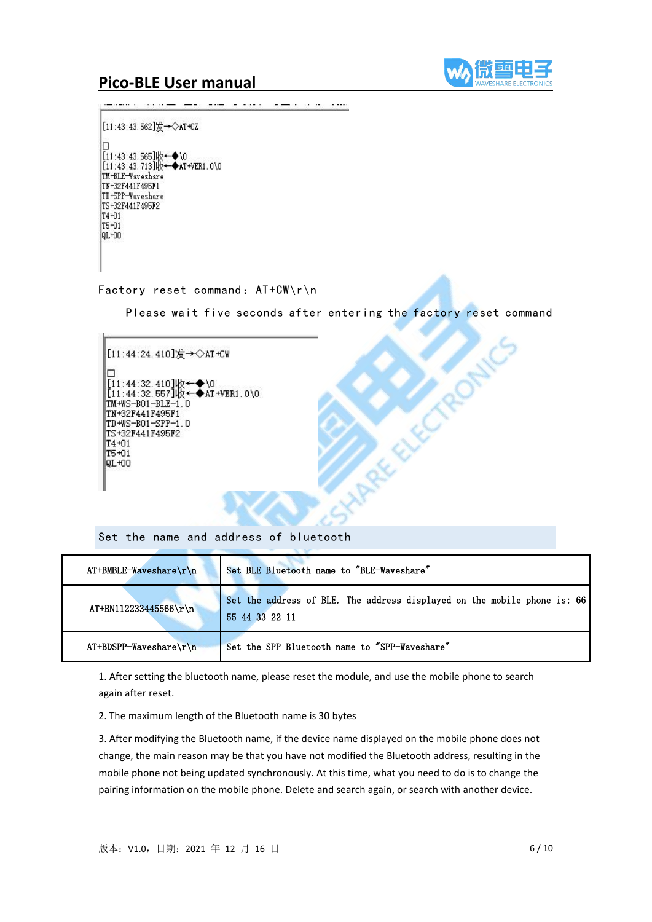

[11:43:43.562]发→◇AT+CZ п ||11:43:43.565]收←◆\0<br>|[11:43:43.713]收←◆AT+VER1.0\0 TM+BLE-Waveshare TN+32F441F495F1 TD+SPP-Waveshare TS+32F441F495F2 T4+01 T5+01 QL+00

Please wait five seconds after entering the factory reset command

**Article of the Artist** 



<span id="page-5-0"></span>Set the name and address of bluetooth

| $AT+BMBLE-Waveshare\rrbraket{r}{n}$ | Set BLE Bluetooth name to "BLE-Waveshare"                                                  |
|-------------------------------------|--------------------------------------------------------------------------------------------|
| $AT+BN112233445566\$                | Set the address of BLE. The address displayed on the mobile phone is: 66<br>55 44 33 22 11 |
| $AT+BDSPP-Waveshare\rrbracket$      | Set the SPP Bluetooth name to "SPP-Waveshare"                                              |

1. After setting the bluetooth name, please reset the module, and use the mobile phone to search again after reset.

2. The maximum length of the Bluetooth name is 30 bytes

3. After modifying the Bluetooth name, if the device name displayed on the mobile phone does not change, the main reason may be that you have not modified the Bluetooth address, resulting in the mobile phone not being updated synchronously. At this time, what you need to do is to change the pairing information on the mobile phone. Delete and search again, or search with another device.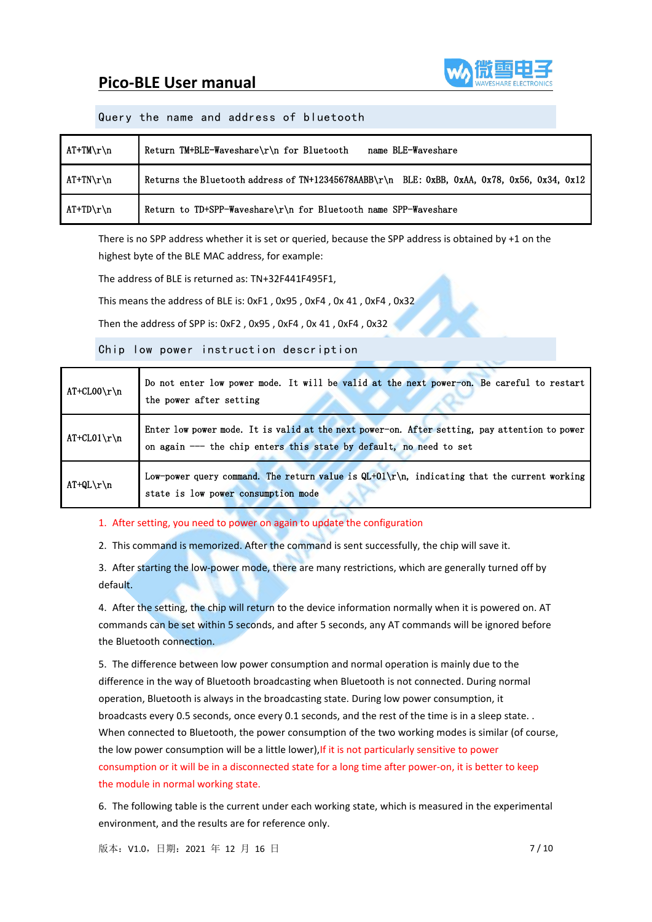

#### Query the name and address of bluetooth

| AT+TM\r\n                       | Return TM+BLE-Waveshare\r\n for Bluetooth<br>name BLE-Waveshare                              |
|---------------------------------|----------------------------------------------------------------------------------------------|
| $AT+TN\backslash r\backslash n$ | Returns the Bluetooth address of TN+12345678AABB\r\n BLE: 0xBB, 0xAA, 0x78, 0x56, 0x34, 0x12 |
| $AT+TD\backslash r\backslash n$ | Return to TD+SPP-Waveshare\r\n for Bluetooth name SPP-Waveshare                              |

There is no SPP address whether it is set or queried, because the SPP address is obtained by +1 on the highest byte of the BLE MAC address, for example:

The address of BLE is returned as: TN+32F441F495F1,

This means the address of BLE is: 0xF1 , 0x95 , 0xF4 , 0x 41 , 0xF4 , 0x32

Then the address of SPP is: 0xF2 , 0x95 , 0xF4 , 0x 41 , 0xF4 , 0x32

<span id="page-6-0"></span>Chip low power instruction description

| $AT+CL00\r\n\$ | Do not enter low power mode. It will be valid at the next power-on. Be careful to restart<br>the power after setting                                                |
|----------------|---------------------------------------------------------------------------------------------------------------------------------------------------------------------|
| $AT+CL01\$ r\n | Enter low power mode. It is valid at the next power-on. After setting, pay attention to power<br>on again --- the chip enters this state by default, no need to set |
| $AT+QL\r\n\$   | Low-power query command. The return value is $QL+01\r\hbar$ , indicating that the current working<br>state is low power consumption mode                            |

#### 1. After setting, you need to power on again to update the configuration

2. This command is memorized. After the command is sent successfully, the chip will save it.

3. After starting the low-power mode, there are many restrictions, which are generally turned off by default.

4. After the setting, the chip will return to the device information normally when it is powered on. AT commands can be set within 5 seconds, and after 5 seconds, any AT commands will be ignored before the Bluetooth connection.

5. The difference between low power consumption and normal operation is mainly due to the difference in the way of Bluetooth broadcasting when Bluetooth is not connected. During normal operation, Bluetooth is always in the broadcasting state. During low power consumption, it broadcasts every 0.5 seconds, once every 0.1 seconds, and the rest of the time is in a sleep state. . When connected to Bluetooth, the power consumption of the two working modes is similar (of course, the low power consumption will be a little lower), If it is not particularly sensitive to power consumption or it will be in a disconnected state for a long time after power-on, it is better to keep the module in normal working state.

6. The following table is the current under each working state, which is measured in the experimental environment, and the results are for reference only.

版本: V1.0, 日期: 2021 年 12 月 16 日 7 / 10 10 12 月 16 日 7 / 10 12 月 16 日 7 / 10 12 12 月 16 日 7 / 10 12 12 月 16 日 7 / 10 12 12 月 16 日 7 / 10 12 12 月 16 日 7 / 10 12 12 月 16 日 7 / 10 12 12 月 16 日 7 / 10 12 12 月 16 日 7 / 10 12 12 1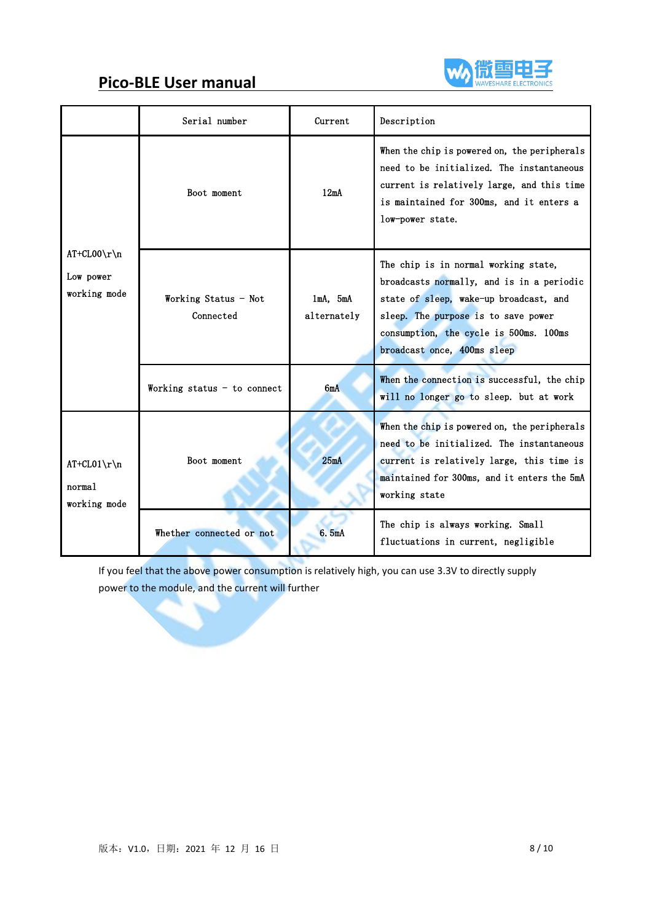

|                                             | Serial number                     | Current                      | Description                                                                                                                                                                                                                                 |  |
|---------------------------------------------|-----------------------------------|------------------------------|---------------------------------------------------------------------------------------------------------------------------------------------------------------------------------------------------------------------------------------------|--|
|                                             | Boot moment                       | 12mA                         | When the chip is powered on, the peripherals<br>need to be initialized. The instantaneous<br>current is relatively large, and this time<br>is maintained for 300ms, and it enters a<br>low-power state.                                     |  |
| $AT+CL00\r\n\$<br>Low power<br>working mode | Working Status - Not<br>Connected | $1mA$ , $5mA$<br>alternately | The chip is in normal working state,<br>broadcasts normally, and is in a periodic<br>state of sleep, wake-up broadcast, and<br>sleep. The purpose is to save power<br>consumption, the cycle is 500ms. 100ms<br>broadcast once, 400ms sleep |  |
|                                             | Working status - to connect       | 6mA                          | When the connection is successful, the chip<br>will no longer go to sleep. but at work                                                                                                                                                      |  |
| $AT+CL01\$ r\n<br>normal<br>working mode    | Boot moment                       | 25mA                         | When the chip is powered on, the peripherals<br>need to be initialized. The instantaneous<br>current is relatively large, this time is<br>maintained for 300ms, and it enters the 5mA<br>working state                                      |  |
|                                             | Whether connected or not          | 6.5mA                        | The chip is always working. Small<br>fluctuations in current, negligible                                                                                                                                                                    |  |

If you feel that the above power consumption is relatively high, you can use 3.3V to directly supply power to the module, and the current will further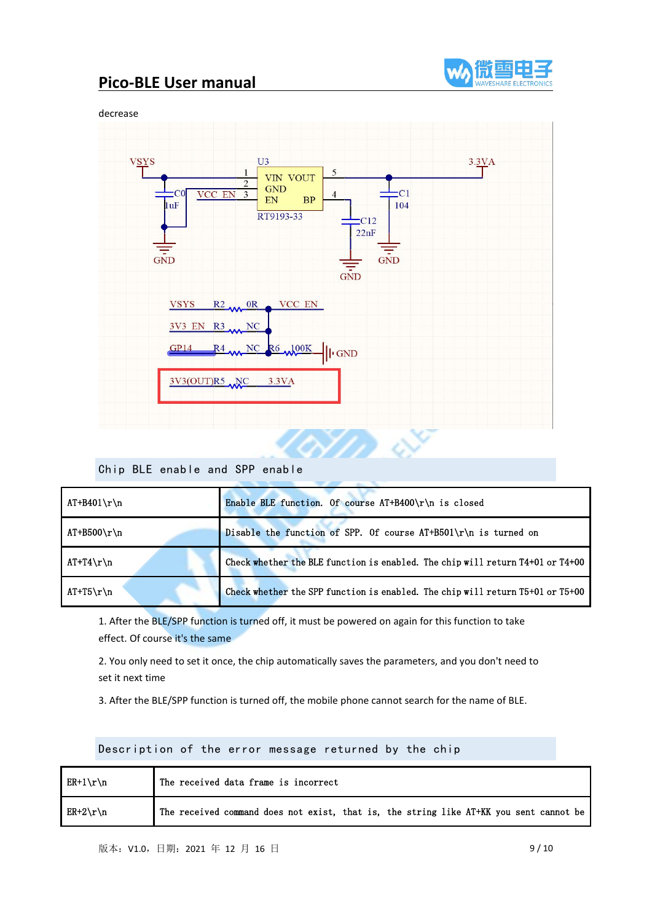



### Chip BLE enable and SPP enable

| $AT+B401\$   | Enable BLE function. Of course AT+B400\r\n is closed                           |
|--------------|--------------------------------------------------------------------------------|
| $AT+B500\$   | Disable the function of SPP. Of course $AT+B501\r\n$ is turned on              |
| $AT+T4\r\ln$ | Check whether the BLE function is enabled. The chip will return T4+01 or T4+00 |
| $AT+T5\r\n\$ | Check whether the SPP function is enabled. The chip will return T5+01 or T5+00 |

1. After the BLE/SPP function is turned off, it must be powered on again for this function to take effect. Of course it's the same

2. You only need to set it once, the chip automatically saves the parameters, and you don't need to set it next time

3. After the BLE/SPP function is turned off, the mobile phone cannot search for the name of BLE.

Description of the error message returned by the chip

| $ER+1\$ n   | The received data frame is incorrect                                                   |
|-------------|----------------------------------------------------------------------------------------|
| $ER+2\r\ln$ | The received command does not exist, that is, the string like AT+KK you sent cannot be |